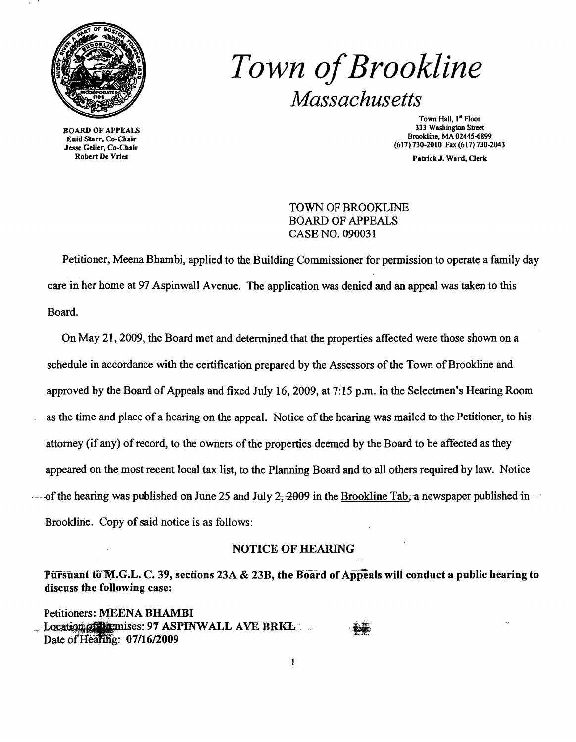

**3333 BOARD OF APPEALS**<br>534 Enid Starr, Co-Chair Robert De Vries

# *Town ofBrookline Massachusetts*

Town Hall, 1<sup>st</sup> Floor<br>333 Washington Street Brookline, MA 02445-6899<br>
Enid Starr, Co-Chair<br>
Jesse Geller, Co-Chair (617) 730-2010 Fax (617) 730-2010 (617) 730-2010 Fax (617) 730-2043

Patrick J. Ward, Oerk

## TOWN OF BROOKLINE BOARD OF APPEALS CASE NO. 090031

Petitioner, Meena Bhambi, applied to the Building Commissioner for permission to operate a family day care in her home at 97 Aspinwall Avenue. The application was denied and an appeal was taken to this Board.

On May 21, 2009, the Board met and determined that the properties affected were those shown on a schedule in accordance with the certification prepared by the Assessors of the Town of Brookline and approved by the Board of Appeals and fixed July 16, 2009, at 7:15 p.m. in the Selectmen's Hearing Room as the time and place of a hearing on the appeal. Notice of the hearing was mailed to the Petitioner, to his attorney (if any) of record, to the owners of the properties deemed by the Board to be affected as they appeared on the most recent local tax list, to the Planning Board and to all others required by law. Notice  $-$ --of the hearing was published on June 25 and July 2, 2009 in the Brookline Tab, a newspaper published in Brookline. Copy of said notice is as follows:

### NOTICE OF HEARING

Pursuant to M.G.L. C. 39, sections 23A & 23B, the Board of Appeals will conduct a public hearing to discuss the following case:

Petitioners: MEENA BHAMBI Location of Higmises: 97 ASPINWALL AVE BRKL, and the Location of Higgs and ASPINWALL AVE BRKL, Date of Hearing: 07/16/2009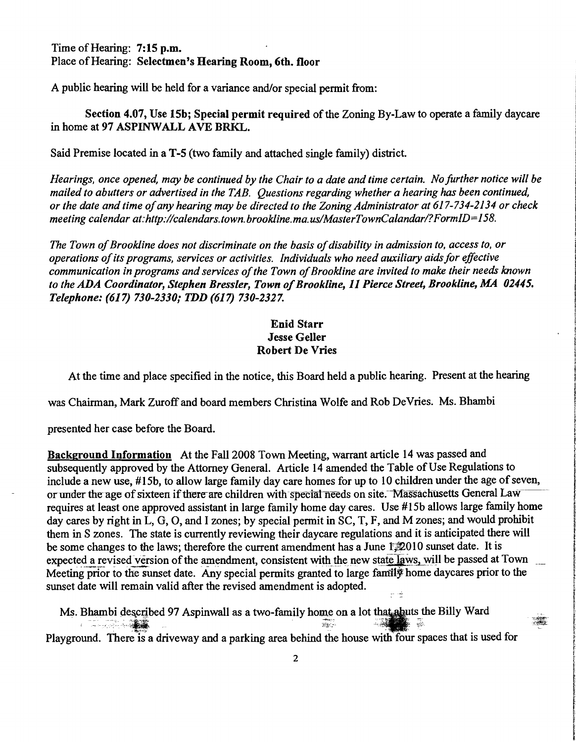Time of Hearing: 7:15 p.m. Place of Hearing: Selectmen's Hearing Room, 6th. floor

A public hearing will be held for a variance and/or special permit from:

Section 4.07, Use 15b; Special permit required of the Zoning By-Law to operate a family daycare in home at 97 ASPINWALL AVE BRKL.

Said Premise located in a T-5 (two family and attached single family) district.

*Hearings, once opened, may be continued by the Chair to a date and time certain. No further notice will be mailed to abutters or advertised in the TAB. Questions regarding whether a hearing has been continued, or the date and time ofany hearing may be directed to the Zoning Administrator at* 617-734-2134 *or check meeting calendar at:http://calendars.town.brookline.ma.usIMasterTownCalandarl?FormID=158.* 

The Town of Brookline does not discriminate on the basis of disability in admission to, access to, or *operations ofits programs, services or activities. Individuals who need auxiliary aidsfor effective communication in programs and services ofthe Town ofBrookline are invited to make their needs known to the ADA Coordinator, Stephen Bressler, Town ofBrookline,* 11 *Pierce Street, Brookline, MA 02445. Telephone:* (617) *730-2330; TDD* (617) *730-2327.* 

## Enid Starr Jesse Geller Robert De Vries

At the time and place specified in the notice, this Board held a public hearing. Present at the hearing

was Chairman, Mark Zuroff and board members Christina Wolfe and Rob DeVries. Ms. Bhambi

presented her case before the Board.

Background Information At the Fall 2008 Town Meeting, warrant article 14 was passed and subsequently approved by the Attorney General. Article 14 amended the Table of Use Regulations to include a new use, #15b, to allow large family day care homes for up to 10 children under the age of seven, or under the age of sixteen if there are children with special needs on site. Massachusetts General Law requires at least one approved assistant in large family home day cares. Use #15b allows large family home day cares by right in L, G, 0, and I zones; by special permit in SC, T, F, and M zones; and would prohibit them in S zones. The state is currently reviewing their daycare regulations and it is anticipated there will be some changes to the laws; therefore the current amendment has a June  $\frac{1}{2}2010$  sunset date. It is expected a revised version of the amendment, consistent with the new state laws, will be passed at Town Meeting prior to the sunset date. Any special permits granted to large family home daycares prior to the sunset date will remain valid after the revised amendment is adopted.

Ms. Bhambi described 97 Aspinwall as a two-family home on a lot that abuts the Billy Ward .  $\frac{1}{100}$ Playground. There is a driveway and a parking area behind the house with four spaces that is used for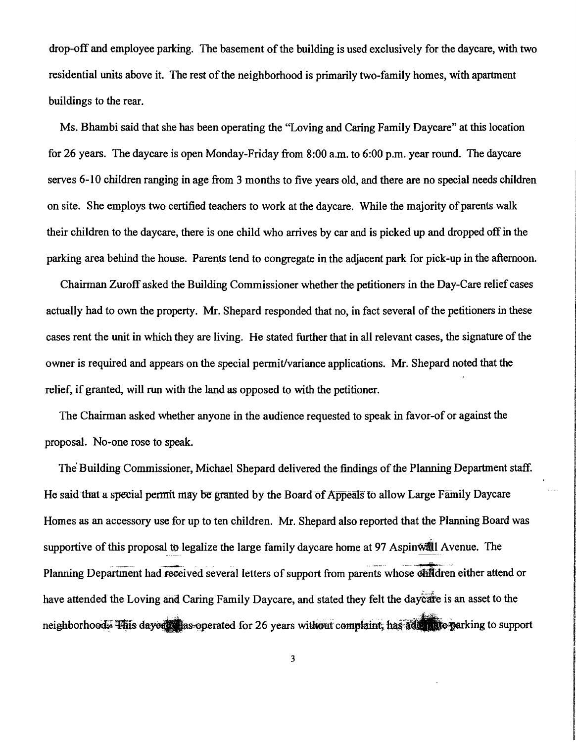drop-off and employee parking. The basement of the building is used exclusively for the daycare, with two residential units above it. The rest of the neighborhood is primarily two-family homes, with apartment buildings to the rear.

Ms. Bhambi said that she has been operating the "Loving and Caring Family Daycare" at this location for 26 years. The daycare is open Monday-Friday from 8:00 a.m. to 6:00 p.m. year round. The daycare serves 6-10 children ranging in age from 3 months to five years old, and there are no special needs children on site. She employs two certified teachers to work at the daycare. While the majority of parents walk their children to the daycare, there is one child who arrives by car and is picked up and dropped off in the parking area behind the house. Parents tend to congregate in the adjacent park for pick-up in the afternoon.

Chairman Zuroff asked the Building Commissioner whether the petitioners in the Day-Care relief cases actually had to own the property. Mr. Shepard responded that no, in fact several of the petitioners in these cases rent the unit in which they are living. He stated further that in all relevant cases, the signature of the owner is required and appears on the special permit/variance applications. Mr. Shepard noted that the relief, if granted, will run with the land as opposed to with the petitioner.

The Chairman asked whether anyone in the audience requested to speak in favor-of or against the proposal. No-one rose to speak.

The Building Commissioner, Michael Shepard delivered the findings of the Planning Department staff. He said that a special permit may be granted by the Board of Appeals to allow Large-Family Daycare Homes as an accessory use for up to ten children. Mr. Shepard also reported that the Planning Board was supportive of this proposal to legalize the large family daycare home at 97 AspinW11 Avenue. The state of the contract of the contract of the contract of the contract of the contract of the contract of the contract of the Planning Department had received several letters of support from parents whose children either attend or have attended the Loving and Caring Family Daycare, and stated they felt the daycare is an asset to the neighborhood. This dayour has operated for 26 years without complaint, has added the parking to support

3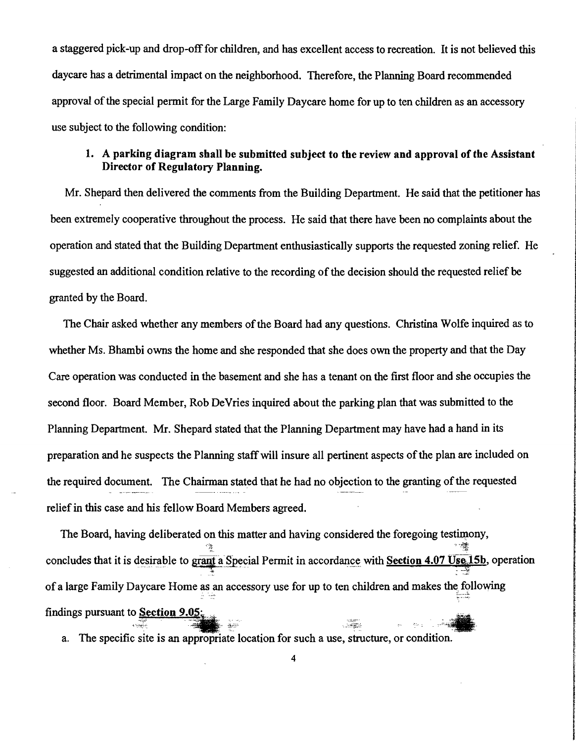a staggered pick-up and drop-off for children, and has excellent access to recreation. It is not believed this daycare has a detrimental impact on the neighborhood. Therefore, the Planning Board recommended approval of the special permit for the Large Family Daycare home for up to ten children as an accessory use subject to the following condition:

### 1. A parking diagram shall be submitted subject to the review and approval of the Assistant Director of Regulatory Planning.

Mr. Shepard then delivered the comments from the Building Department. He said that the petitioner has been extremely cooperative throughout the process. He said that there have been no complaints about the operation and stated that the Building Department enthusiastically supports the requested zoning relief. He suggested an additional condition relative to the recording of the decision should the requested relief be granted by the Board.

The Chair asked whether any members of the Board had any questions. Christina Wolfe inquired as to whether Ms. Bhambi owns the home and she responded that she does own the property and that the Day Care operation was conducted in the basement and she has a tenant on the first floor and she occupies the second floor. Board Member, Rob DeVries inquired about the parking plan that was submitted to the Planning Department. Mr. Shepard stated that the Planning Department may have had a hand in its preparation and he suspects the Planning staffwill insure all pertinent aspects ofthe plan are included on the required document. The Chairman stated that he had no objection to the granting of the requested relief in this case and his fellow Board Members agreed.

The Board, having deliberated on this matter and having considered the foregoing testimony, concludes that it is desirable to grant a Special Permit in accordance with Section 4.07 Use 15b, operation  $\frac{1}{\sqrt{2}}$  . The contract of the contract of the contract of the contract of the contract of the contract of the contract of the contract of the contract of the contract of the contract of the contract of the contract o of a large Family Daycare Home as an accessory use for up to ten children and makes the following findings pursuant to **Section 9.05:**<br>a. The specific site is an appropriate location for such a use, structure, or condition.

4